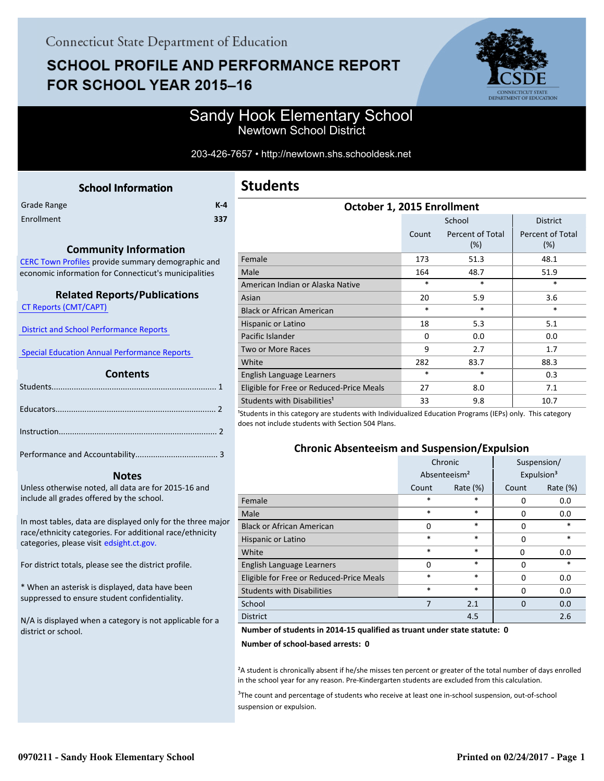# **SCHOOL PROFILE AND PERFORMANCE REPORT** FOR SCHOOL YEAR 2015-16



### Sandy Hook Elementary School Newtown School District

#### 203-426-7657 • http://newtown.shs.schooldesk.net

<span id="page-0-0"></span>

| <b>School Information</b> |         |
|---------------------------|---------|
|                           | $K - 4$ |
|                           | 337     |
|                           |         |

#### **Community Information**

[CERC Town Profiles provide summary demographic and](http://www.cerc.com/townprofiles/) economic information for Connecticut's municipalities

#### **Related Reports/Publications**

 [CT Reports \(CMT/CAPT\)](http://ctreports.com/) 

 [District and School Performance Reports](http://www.csde.state.ct.us/public/performancereports/reports.asp) 

 [Special Education Annual Performance Reports](http://edsight.ct.gov/SASPortal/main.do) 

#### **Contents**

 **Notes**

Performance and Accountability..................................... 3 .

Unless otherwise noted, all data are for 2015-16 and include all grades offered by the school.

[In most tables, data are displayed only for the three major](http://edsight.ct.gov/) race/ethnicity categories. For additional race/ethnicity categories, please visit edsight.ct.gov.

For district totals, please see the district profile.

\* When an asterisk is displayed, data have been suppressed to ensure student confidentiality.

N/A is displayed when a category is not applicable for a district or school.

| October 1, 2015 Enrollment               |          |                                   |                         |  |  |
|------------------------------------------|----------|-----------------------------------|-------------------------|--|--|
|                                          |          | School                            | <b>District</b>         |  |  |
|                                          | Count    | <b>Percent of Total</b><br>$(\%)$ | Percent of Total<br>(%) |  |  |
| Female                                   | 173      | 51.3                              | 48.1                    |  |  |
| Male                                     | 164      | 48.7                              | 51.9                    |  |  |
| American Indian or Alaska Native         | *        | $\ast$                            | $\ast$                  |  |  |
| Asian                                    | 20       | 5.9                               | 3.6                     |  |  |
| <b>Black or African American</b>         | $\ast$   | *                                 | *                       |  |  |
| Hispanic or Latino                       | 18       | 5.3                               | 5.1                     |  |  |
| Pacific Islander                         | $\Omega$ | 0.0                               | 0.0                     |  |  |
| Two or More Races                        | 9        | 2.7                               | 1.7                     |  |  |
| White                                    | 282      | 83.7                              | 88.3                    |  |  |
| English Language Learners                | $\ast$   | *                                 | 0.3                     |  |  |
| Eligible for Free or Reduced-Price Meals | 27       | 8.0                               | 7.1                     |  |  |
| Students with Disabilities <sup>1</sup>  | 33       | 9.8                               | 10.7                    |  |  |

<sup>1</sup>Students in this category are students with Individualized Education Programs (IEPs) only. This category does not include students with Section 504 Plans.

#### **Chronic Absenteeism and Suspension/Expulsion**

|                                          | Chronic                  |             | Suspension/ |                        |
|------------------------------------------|--------------------------|-------------|-------------|------------------------|
|                                          | Absenteeism <sup>2</sup> |             |             | Expulsion <sup>3</sup> |
|                                          | Count                    | Rate $(\%)$ |             | Rate (%)               |
| Female                                   | *                        | $\ast$      | 0           | 0.0                    |
| Male                                     | *                        | $\ast$      | 0           | 0.0                    |
| <b>Black or African American</b>         | 0                        | $\ast$      | 0           | $\ast$                 |
| Hispanic or Latino                       | *                        | $\ast$      | $\Omega$    | $\ast$                 |
| White                                    | *                        | $\ast$      | 0           | 0.0                    |
| English Language Learners                | $\Omega$                 | $\ast$      | 0           | $\ast$                 |
| Eligible for Free or Reduced-Price Meals | *                        | $\ast$      | $\Omega$    | 0.0                    |
| <b>Students with Disabilities</b>        | $\ast$                   | $\ast$      | 0           | 0.0                    |
| School                                   | 7                        | 2.1         | $\Omega$    | 0.0                    |
| <b>District</b>                          |                          | 4.5         |             | 2.6                    |

#### **Number of students in 2014-15 qualified as truant under state statute: 0**

**Number of school-based arrests: 0**

²A student is chronically absent if he/she misses ten percent or greater of the total number of days enrolled in the school year for any reason. Pre-Kindergarten students are excluded from this calculation.

<sup>3</sup>The count and percentage of students who receive at least one in-school suspension, out-of-school suspension or expulsion.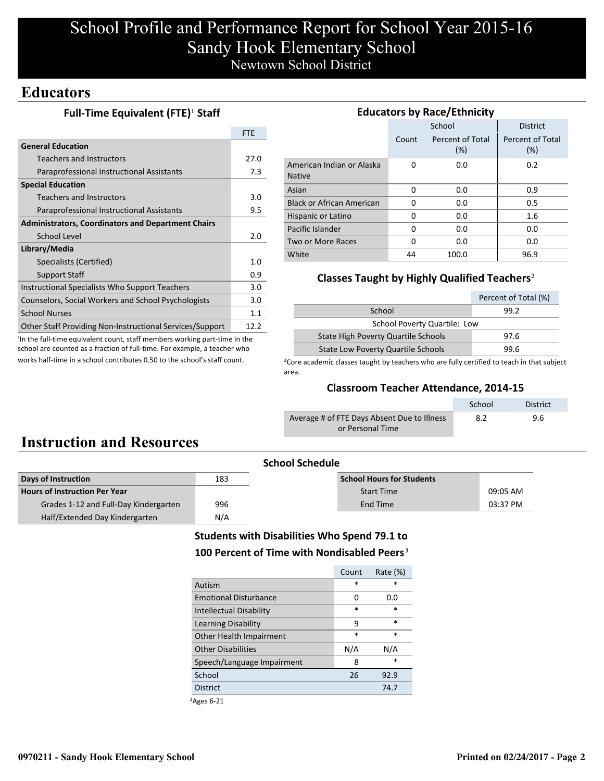## School Profile and Performance Report for School Year 2015-16 Sandy Hook Elementary School Newtown School District

### **Educators**

#### **Full-Time Equivalent (FTE)<sup>1</sup> Staff**

| <b>General Education</b><br>27.0<br>Teachers and Instructors<br>Paraprofessional Instructional Assistants<br><b>Special Education</b><br><b>Teachers and Instructors</b><br>Paraprofessional Instructional Assistants<br><b>Administrators, Coordinators and Department Chairs</b><br>School Level | <b>FTE</b> |
|----------------------------------------------------------------------------------------------------------------------------------------------------------------------------------------------------------------------------------------------------------------------------------------------------|------------|
|                                                                                                                                                                                                                                                                                                    |            |
|                                                                                                                                                                                                                                                                                                    |            |
|                                                                                                                                                                                                                                                                                                    | 7.3        |
|                                                                                                                                                                                                                                                                                                    |            |
|                                                                                                                                                                                                                                                                                                    | 3.0        |
|                                                                                                                                                                                                                                                                                                    | 9.5        |
|                                                                                                                                                                                                                                                                                                    |            |
|                                                                                                                                                                                                                                                                                                    | 2.0        |
| Library/Media                                                                                                                                                                                                                                                                                      |            |
| Specialists (Certified)                                                                                                                                                                                                                                                                            | 1.0        |
| <b>Support Staff</b>                                                                                                                                                                                                                                                                               | 0.9        |
| Instructional Specialists Who Support Teachers                                                                                                                                                                                                                                                     | 3.0        |
| Counselors, Social Workers and School Psychologists                                                                                                                                                                                                                                                | 3.0        |
| <b>School Nurses</b>                                                                                                                                                                                                                                                                               | 1.1        |
| <b>Other Staff Providing Non-Instructional Services/Support</b><br>12.2                                                                                                                                                                                                                            |            |

<sup>1</sup>In the full-time equivalent count, staff members working part-time in the school are counted as a fraction of full-time. For example, a teacher who works half-time in a school contributes 0.50 to the school's staff count.

| <b>Educators by Race/Ethnicity</b>         |          |                         |                         |  |  |  |
|--------------------------------------------|----------|-------------------------|-------------------------|--|--|--|
|                                            |          | School                  | <b>District</b>         |  |  |  |
|                                            | Count    | Percent of Total<br>(%) | Percent of Total<br>(%) |  |  |  |
| American Indian or Alaska<br><b>Native</b> | O        | 0.0                     | 0.2                     |  |  |  |
| Asian                                      | 0        | 0.0                     | 0.9                     |  |  |  |
| <b>Black or African American</b>           | 0        | 0.0                     | 0.5                     |  |  |  |
| Hispanic or Latino                         | 0        | 0.0                     | 1.6                     |  |  |  |
| Pacific Islander                           | O        | 0.0                     | 0.0                     |  |  |  |
| Two or More Races                          | $\Omega$ | 0.0                     | 0.0                     |  |  |  |
| White                                      | 44       | 100.0                   | 96.9                    |  |  |  |

#### **Classes Taught by Highly Qualified Teachers**²

|                                           | Percent of Total (%) |  |  |  |
|-------------------------------------------|----------------------|--|--|--|
| School                                    | 99.2                 |  |  |  |
| <b>School Poverty Quartile: Low</b>       |                      |  |  |  |
| State High Poverty Quartile Schools       | 97.6                 |  |  |  |
| <b>State Low Poverty Quartile Schools</b> | 99.6                 |  |  |  |

<sup>2</sup>Core academic classes taught by teachers who are fully certified to teach in that subject area.

#### **Classroom Teacher Attendance, 2014-15**

|                                             | School | <b>District</b> |
|---------------------------------------------|--------|-----------------|
| Average # of FTE Days Absent Due to Illness | 8.2    | 9.6             |
| or Personal Time                            |        |                 |

## **Instruction and Resources**

| <b>School Schedule</b>                |     |                                  |          |  |
|---------------------------------------|-----|----------------------------------|----------|--|
| Days of Instruction                   | 183 | <b>School Hours for Students</b> |          |  |
| <b>Hours of Instruction Per Year</b>  |     | <b>Start Time</b>                | 09:05 AM |  |
| Grades 1-12 and Full-Day Kindergarten | 996 | End Time                         | 03:37 PM |  |
| Half/Extended Day Kindergarten        | N/A |                                  |          |  |

### **Students with Disabilities Who Spend 79.1 to** 100 Percent of Time with Nondisabled Peers<sup>3</sup>

|                                | Count  | Rate $(\%)$ |
|--------------------------------|--------|-------------|
| Autism                         | $\ast$ | ж           |
| <b>Emotional Disturbance</b>   | 0      | 0.O         |
| <b>Intellectual Disability</b> | $\ast$ | *           |
| <b>Learning Disability</b>     | 9      | *           |
| Other Health Impairment        | $\ast$ | $\ast$      |
| <b>Other Disabilities</b>      | N/A    | N/A         |
| Speech/Language Impairment     | 8      | $\ast$      |
| School                         | 26     | 92.9        |
| <b>District</b>                |        | 74.7        |
|                                |        |             |

³Ages 6-21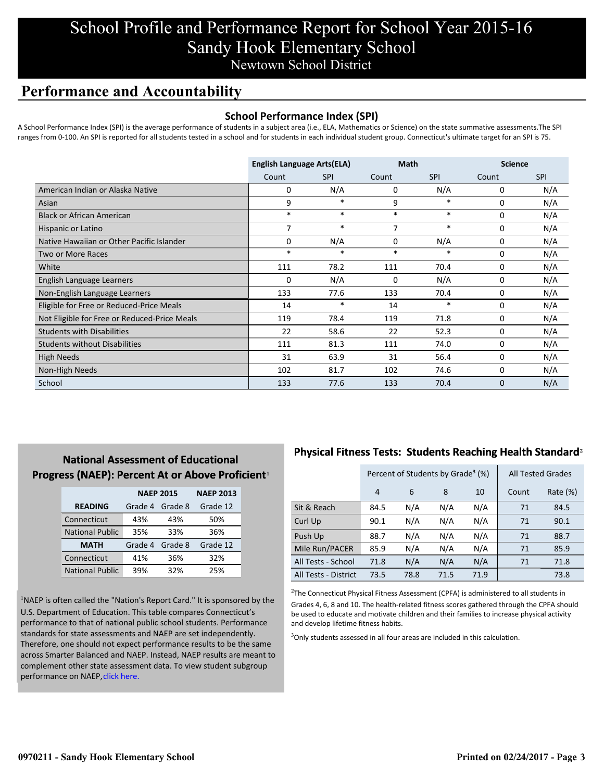## School Profile and Performance Report for School Year 2015-16 Sandy Hook Elementary School Newtown School District

## **Performance and Accountability**

#### **School Performance Index (SPI)**

A School Performance Index (SPI) is the average performance of students in a subject area (i.e., ELA, Mathematics or Science) on the state summative assessments.The SPI ranges from 0-100. An SPI is reported for all students tested in a school and for students in each individual student group. Connecticut's ultimate target for an SPI is 75.

|                                              | <b>English Language Arts(ELA)</b> |            | <b>Math</b> |            | <b>Science</b> |            |
|----------------------------------------------|-----------------------------------|------------|-------------|------------|----------------|------------|
|                                              | Count                             | <b>SPI</b> | Count       | <b>SPI</b> | Count          | <b>SPI</b> |
| American Indian or Alaska Native             | 0                                 | N/A        | 0           | N/A        | 0              | N/A        |
| Asian                                        | 9                                 | *          | 9           | *          | 0              | N/A        |
| <b>Black or African American</b>             | *                                 | $\ast$     | $\ast$      | $\ast$     | 0              | N/A        |
| Hispanic or Latino                           | 7                                 | $\ast$     | 7           | $\ast$     | 0              | N/A        |
| Native Hawaiian or Other Pacific Islander    | 0                                 | N/A        | 0           | N/A        | $\Omega$       | N/A        |
| Two or More Races                            | $\ast$                            | $\ast$     | $\ast$      | $\ast$     | $\mathbf 0$    | N/A        |
| White                                        | 111                               | 78.2       | 111         | 70.4       | 0              | N/A        |
| English Language Learners                    | 0                                 | N/A        | 0           | N/A        | 0              | N/A        |
| Non-English Language Learners                | 133                               | 77.6       | 133         | 70.4       | 0              | N/A        |
| Eligible for Free or Reduced-Price Meals     | 14                                | *          | 14          | $\ast$     | 0              | N/A        |
| Not Eligible for Free or Reduced-Price Meals | 119                               | 78.4       | 119         | 71.8       | 0              | N/A        |
| <b>Students with Disabilities</b>            | 22                                | 58.6       | 22          | 52.3       | $\Omega$       | N/A        |
| <b>Students without Disabilities</b>         | 111                               | 81.3       | 111         | 74.0       | 0              | N/A        |
| <b>High Needs</b>                            | 31                                | 63.9       | 31          | 56.4       | $\Omega$       | N/A        |
| Non-High Needs                               | 102                               | 81.7       | 102         | 74.6       | 0              | N/A        |
| School                                       | 133                               | 77.6       | 133         | 70.4       | $\mathbf{0}$   | N/A        |

### **National Assessment of Educational Progress (NAEP): Percent At or Above Proficient1**

|                        | <b>NAEP 2015</b> |         | <b>NAEP 2013</b> |  |
|------------------------|------------------|---------|------------------|--|
| <b>READING</b>         | Grade 4          | Grade 8 | Grade 12         |  |
| Connecticut            | 43%              | 43%     | 50%              |  |
| <b>National Public</b> | 35%              | 33%     | 36%              |  |
| <b>MATH</b>            | Grade 4          | Grade 8 | Grade 12         |  |
| Connecticut            | 41%              | 36%     | 32%              |  |
| <b>National Public</b> | 39%              | 32%     | 25%              |  |

<sup>1</sup>NAEP is often called the "Nation's Report Card." It is sponsored by the U.S. Department of Education. This table compares Connecticut's performance to that of national public school students. Performance standards for state assessments and NAEP are set independently. Therefore, one should not expect performance results to be the same [across Smarter Balanced and NAEP. Instead, NAEP results are meant to](http://www.sde.ct.gov/sde/lib/sde/pdf/evalresearch/ct_naep_2015_results_by_performance_level.pdf) complement other state assessment data. To view student subgroup performance on NAEP, click here.

### **Physical Fitness Tests: Students Reaching Health Standard**²

|                      | Percent of Students by Grade <sup>3</sup> (%) |      |      |      | <b>All Tested Grades</b> |          |
|----------------------|-----------------------------------------------|------|------|------|--------------------------|----------|
|                      | 4                                             | 6    | 8    | 10   | Count                    | Rate (%) |
| Sit & Reach          | 84.5                                          | N/A  | N/A  | N/A  | 71                       | 84.5     |
| Curl Up              | 90.1                                          | N/A  | N/A  | N/A  | 71                       | 90.1     |
| Push Up              | 88.7                                          | N/A  | N/A  | N/A  | 71                       | 88.7     |
| Mile Run/PACER       | 85.9                                          | N/A  | N/A  | N/A  | 71                       | 85.9     |
| All Tests - School   | 71.8                                          | N/A  | N/A  | N/A  | 71                       | 71.8     |
| All Tests - District | 73.5                                          | 78.8 | 71.5 | 71.9 |                          | 73.8     |

 $2$ The Connecticut Physical Fitness Assessment (CPFA) is administered to all students in Grades 4, 6, 8 and 10. The health-related fitness scores gathered through the CPFA should be used to educate and motivate children and their families to increase physical activity and develop lifetime fitness habits.

<sup>3</sup>Only students assessed in all four areas are included in this calculation.